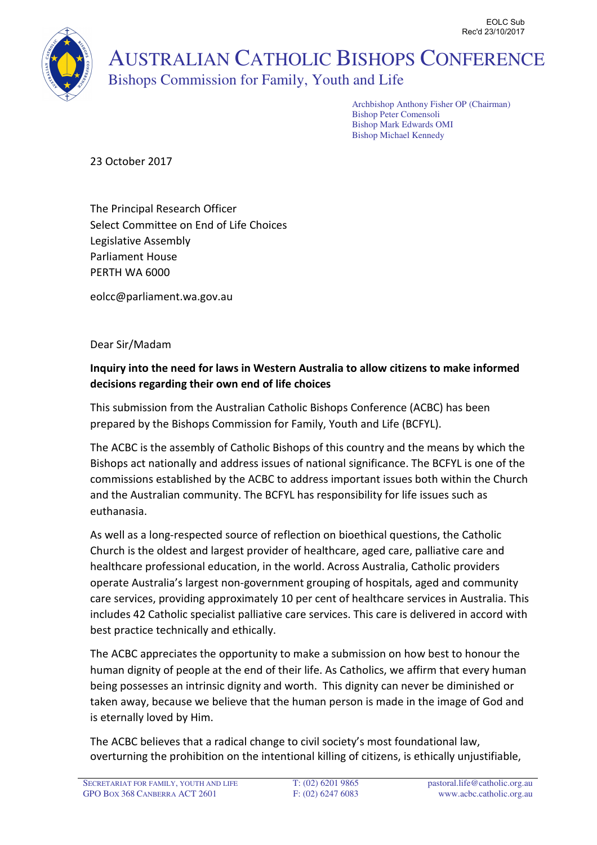

# AUSTRALIAN CATHOLIC BISHOPS CONFERENCE Bishops Commission for Family, Youth and Life

Archbishop Anthony Fisher OP (Chairman) Bishop Peter Comensoli Bishop Mark Edwards OMI Bishop Michael Kennedy

23 October 2017

The Principal Research Officer Select Committee on End of Life Choices Legislative Assembly Parliament House PERTH WA 6000

eolcc@parliament.wa.gov.au

Dear Sir/Madam

## **Inquiry into the need for laws in Western Australia to allow citizens to make informed decisions regarding their own end of life choices**

This submission from the Australian Catholic Bishops Conference (ACBC) has been prepared by the Bishops Commission for Family, Youth and Life (BCFYL).

The ACBC is the assembly of Catholic Bishops of this country and the means by which the Bishops act nationally and address issues of national significance. The BCFYL is one of the commissions established by the ACBC to address important issues both within the Church and the Australian community. The BCFYL has responsibility for life issues such as euthanasia.

As well as a long-respected source of reflection on bioethical questions, the Catholic Church is the oldest and largest provider of healthcare, aged care, palliative care and healthcare professional education, in the world. Across Australia, Catholic providers operate Australia's largest non-government grouping of hospitals, aged and community care services, providing approximately 10 per cent of healthcare services in Australia. This includes 42 Catholic specialist palliative care services. This care is delivered in accord with best practice technically and ethically.

The ACBC appreciates the opportunity to make a submission on how best to honour the human dignity of people at the end of their life. As Catholics, we affirm that every human being possesses an intrinsic dignity and worth. This dignity can never be diminished or taken away, because we believe that the human person is made in the image of God and is eternally loved by Him.

The ACBC believes that a radical change to civil society's most foundational law, overturning the prohibition on the intentional killing of citizens, is ethically unjustifiable,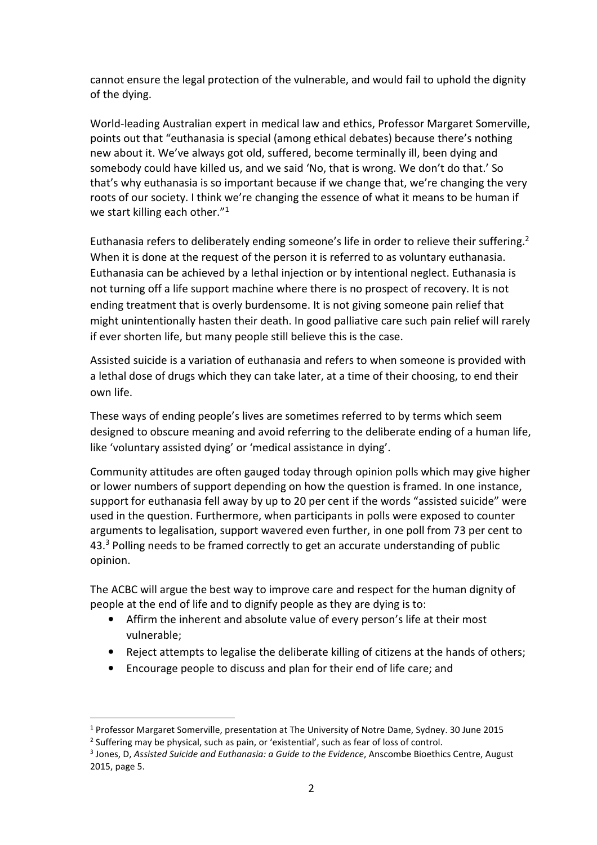cannot ensure the legal protection of the vulnerable, and would fail to uphold the dignity of the dying.

World-leading Australian expert in medical law and ethics, Professor Margaret Somerville, points out that "euthanasia is special (among ethical debates) because there's nothing new about it. We've always got old, suffered, become terminally ill, been dying and somebody could have killed us, and we said 'No, that is wrong. We don't do that.' So that's why euthanasia is so important because if we change that, we're changing the very roots of our society. I think we're changing the essence of what it means to be human if we start killing each other."<sup>1</sup>

Euthanasia refers to deliberately ending someone's life in order to relieve their suffering.<sup>2</sup> When it is done at the request of the person it is referred to as voluntary euthanasia. Euthanasia can be achieved by a lethal injection or by intentional neglect. Euthanasia is not turning off a life support machine where there is no prospect of recovery. It is not ending treatment that is overly burdensome. It is not giving someone pain relief that might unintentionally hasten their death. In good palliative care such pain relief will rarely if ever shorten life, but many people still believe this is the case.

Assisted suicide is a variation of euthanasia and refers to when someone is provided with a lethal dose of drugs which they can take later, at a time of their choosing, to end their own life.

These ways of ending people's lives are sometimes referred to by terms which seem designed to obscure meaning and avoid referring to the deliberate ending of a human life, like 'voluntary assisted dying' or 'medical assistance in dying'.

Community attitudes are often gauged today through opinion polls which may give higher or lower numbers of support depending on how the question is framed. In one instance, support for euthanasia fell away by up to 20 per cent if the words "assisted suicide" were used in the question. Furthermore, when participants in polls were exposed to counter arguments to legalisation, support wavered even further, in one poll from 73 per cent to 43.<sup>3</sup> Polling needs to be framed correctly to get an accurate understanding of public opinion.

The ACBC will argue the best way to improve care and respect for the human dignity of people at the end of life and to dignify people as they are dying is to:

- Affirm the inherent and absolute value of every person's life at their most vulnerable;
- Reject attempts to legalise the deliberate killing of citizens at the hands of others;
- Encourage people to discuss and plan for their end of life care; and

<sup>&</sup>lt;sup>1</sup> Professor Margaret Somerville, presentation at The University of Notre Dame, Sydney. 30 June 2015

<sup>&</sup>lt;sup>2</sup> Suffering may be physical, such as pain, or 'existential', such as fear of loss of control.

<sup>3</sup> Jones, D, *Assisted Suicide and Euthanasia: a Guide to the Evidence*, Anscombe Bioethics Centre, August 2015, page 5.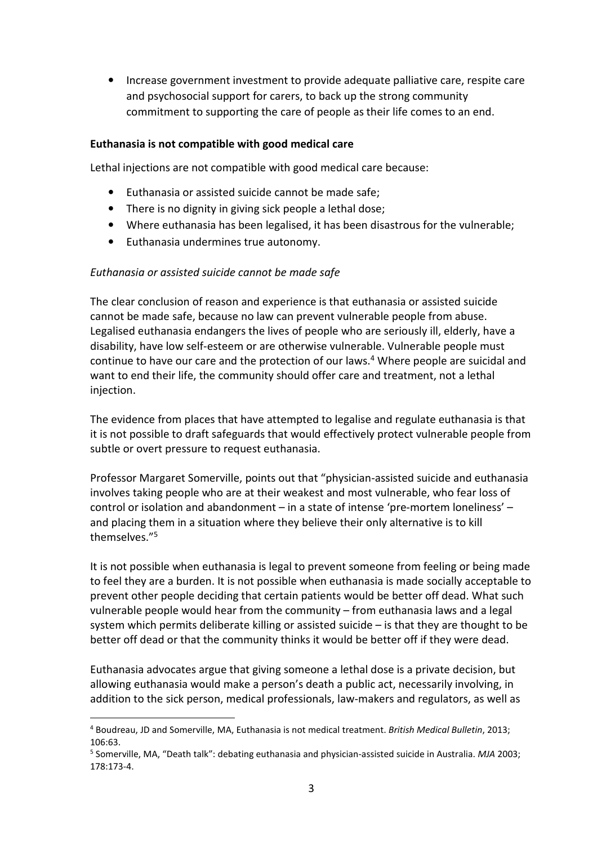• Increase government investment to provide adequate palliative care, respite care and psychosocial support for carers, to back up the strong community commitment to supporting the care of people as their life comes to an end.

#### **Euthanasia is not compatible with good medical care**

Lethal injections are not compatible with good medical care because:

- Euthanasia or assisted suicide cannot be made safe;
- There is no dignity in giving sick people a lethal dose;
- Where euthanasia has been legalised, it has been disastrous for the vulnerable;
- Euthanasia undermines true autonomy.

### *Euthanasia or assisted suicide cannot be made safe*

The clear conclusion of reason and experience is that euthanasia or assisted suicide cannot be made safe, because no law can prevent vulnerable people from abuse. Legalised euthanasia endangers the lives of people who are seriously ill, elderly, have a disability, have low self-esteem or are otherwise vulnerable. Vulnerable people must continue to have our care and the protection of our laws.<sup>4</sup> Where people are suicidal and want to end their life, the community should offer care and treatment, not a lethal injection.

The evidence from places that have attempted to legalise and regulate euthanasia is that it is not possible to draft safeguards that would effectively protect vulnerable people from subtle or overt pressure to request euthanasia.

Professor Margaret Somerville, points out that "physician-assisted suicide and euthanasia involves taking people who are at their weakest and most vulnerable, who fear loss of control or isolation and abandonment – in a state of intense 'pre-mortem loneliness' – and placing them in a situation where they believe their only alternative is to kill themselves."<sup>5</sup>

It is not possible when euthanasia is legal to prevent someone from feeling or being made to feel they are a burden. It is not possible when euthanasia is made socially acceptable to prevent other people deciding that certain patients would be better off dead. What such vulnerable people would hear from the community – from euthanasia laws and a legal system which permits deliberate killing or assisted suicide – is that they are thought to be better off dead or that the community thinks it would be better off if they were dead.

Euthanasia advocates argue that giving someone a lethal dose is a private decision, but allowing euthanasia would make a person's death a public act, necessarily involving, in addition to the sick person, medical professionals, law-makers and regulators, as well as

<sup>4</sup> Boudreau, JD and Somerville, MA, Euthanasia is not medical treatment. *British Medical Bulletin*, 2013; 106:63.

<sup>5</sup> Somerville, MA, "Death talk": debating euthanasia and physician-assisted suicide in Australia. *MJA* 2003; 178:173-4.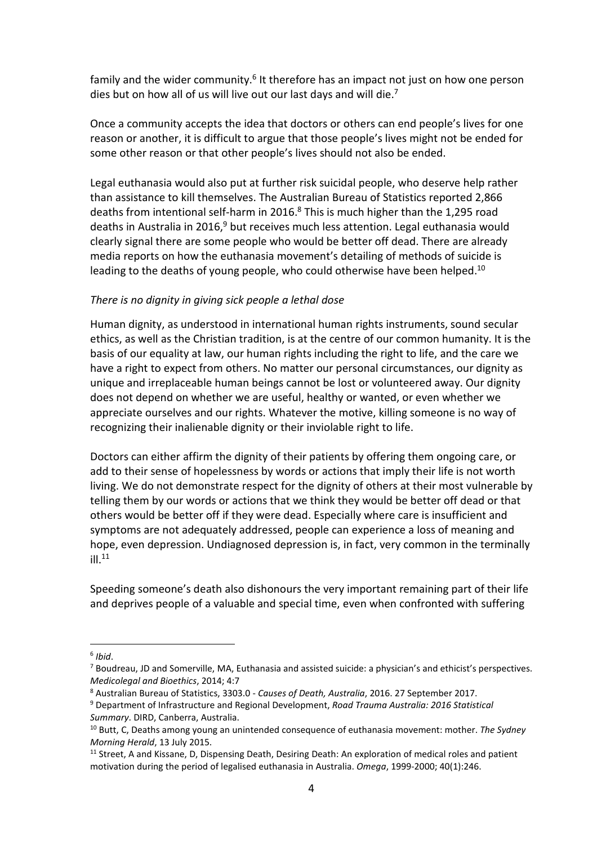family and the wider community.<sup>6</sup> It therefore has an impact not just on how one person dies but on how all of us will live out our last days and will die.<sup>7</sup>

Once a community accepts the idea that doctors or others can end people's lives for one reason or another, it is difficult to argue that those people's lives might not be ended for some other reason or that other people's lives should not also be ended.

Legal euthanasia would also put at further risk suicidal people, who deserve help rather than assistance to kill themselves. The Australian Bureau of Statistics reported 2,866 deaths from intentional self-harm in 2016.<sup>8</sup> This is much higher than the 1,295 road deaths in Australia in 2016,<sup>9</sup> but receives much less attention. Legal euthanasia would clearly signal there are some people who would be better off dead. There are already media reports on how the euthanasia movement's detailing of methods of suicide is leading to the deaths of young people, who could otherwise have been helped.<sup>10</sup>

#### *There is no dignity in giving sick people a lethal dose*

Human dignity, as understood in international human rights instruments, sound secular ethics, as well as the Christian tradition, is at the centre of our common humanity. It is the basis of our equality at law, our human rights including the right to life, and the care we have a right to expect from others. No matter our personal circumstances, our dignity as unique and irreplaceable human beings cannot be lost or volunteered away. Our dignity does not depend on whether we are useful, healthy or wanted, or even whether we appreciate ourselves and our rights. Whatever the motive, killing someone is no way of recognizing their inalienable dignity or their inviolable right to life.

Doctors can either affirm the dignity of their patients by offering them ongoing care, or add to their sense of hopelessness by words or actions that imply their life is not worth living. We do not demonstrate respect for the dignity of others at their most vulnerable by telling them by our words or actions that we think they would be better off dead or that others would be better off if they were dead. Especially where care is insufficient and symptoms are not adequately addressed, people can experience a loss of meaning and hope, even depression. Undiagnosed depression is, in fact, very common in the terminally ill.<sup>11</sup>

Speeding someone's death also dishonours the very important remaining part of their life and deprives people of a valuable and special time, even when confronted with suffering

<sup>6</sup> *Ibid*.

<sup>&</sup>lt;sup>7</sup> Boudreau, JD and Somerville, MA, Euthanasia and assisted suicide: a physician's and ethicist's perspectives. *Medicolegal and Bioethics*, 2014; 4:7

<sup>8</sup> Australian Bureau of Statistics, 3303.0 - *Causes of Death, Australia*, 2016. 27 September 2017.

<sup>9</sup> Department of Infrastructure and Regional Development, *Road Trauma Australia: 2016 Statistical Summary*. DIRD, Canberra, Australia.

<sup>10</sup> Butt, C, Deaths among young an unintended consequence of euthanasia movement: mother. *The Sydney Morning Herald*, 13 July 2015.

<sup>&</sup>lt;sup>11</sup> Street, A and Kissane, D, Dispensing Death, Desiring Death: An exploration of medical roles and patient motivation during the period of legalised euthanasia in Australia. *Omega*, 1999-2000; 40(1):246.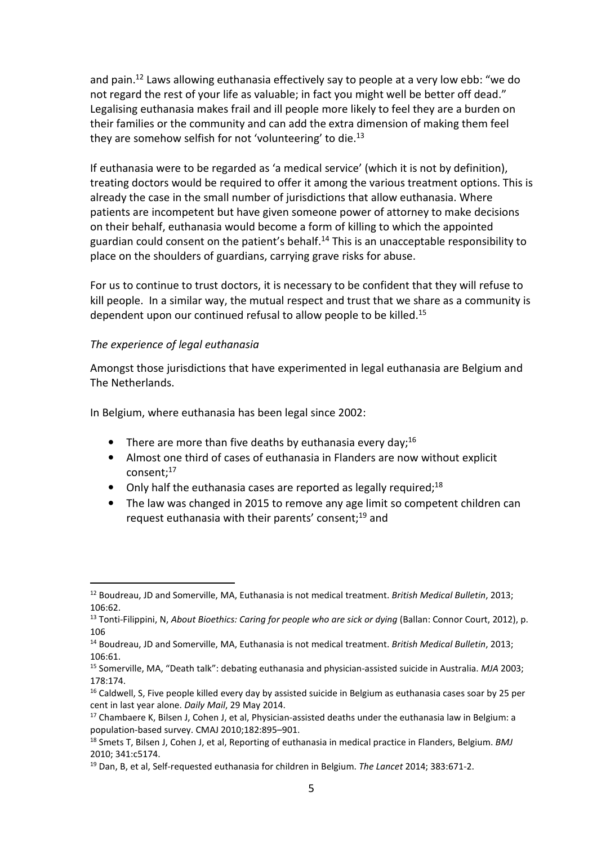and pain.<sup>12</sup> Laws allowing euthanasia effectively say to people at a very low ebb: "we do not regard the rest of your life as valuable; in fact you might well be better off dead." Legalising euthanasia makes frail and ill people more likely to feel they are a burden on their families or the community and can add the extra dimension of making them feel they are somehow selfish for not 'volunteering' to die.<sup>13</sup>

If euthanasia were to be regarded as 'a medical service' (which it is not by definition), treating doctors would be required to offer it among the various treatment options. This is already the case in the small number of jurisdictions that allow euthanasia. Where patients are incompetent but have given someone power of attorney to make decisions on their behalf, euthanasia would become a form of killing to which the appointed guardian could consent on the patient's behalf.<sup>14</sup> This is an unacceptable responsibility to place on the shoulders of guardians, carrying grave risks for abuse.

For us to continue to trust doctors, it is necessary to be confident that they will refuse to kill people. In a similar way, the mutual respect and trust that we share as a community is dependent upon our continued refusal to allow people to be killed.<sup>15</sup>

#### *The experience of legal euthanasia*

 $\overline{a}$ 

Amongst those jurisdictions that have experimented in legal euthanasia are Belgium and The Netherlands.

In Belgium, where euthanasia has been legal since 2002:

- There are more than five deaths by euthanasia every day;<sup>16</sup>
- Almost one third of cases of euthanasia in Flanders are now without explicit consent;<sup>17</sup>
- Only half the euthanasia cases are reported as legally required;<sup>18</sup>
- The law was changed in 2015 to remove any age limit so competent children can request euthanasia with their parents' consent;<sup>19</sup> and

<sup>12</sup> Boudreau, JD and Somerville, MA, Euthanasia is not medical treatment. *British Medical Bulletin*, 2013; 106:62.

<sup>13</sup> Tonti-Filippini, N, *About Bioethics: Caring for people who are sick or dying* (Ballan: Connor Court, 2012), p. 106

<sup>14</sup> Boudreau, JD and Somerville, MA, Euthanasia is not medical treatment. *British Medical Bulletin*, 2013; 106:61.

<sup>15</sup> Somerville, MA, "Death talk": debating euthanasia and physician-assisted suicide in Australia. *MJA* 2003; 178:174.

<sup>&</sup>lt;sup>16</sup> Caldwell, S, Five people killed every day by assisted suicide in Belgium as euthanasia cases soar by 25 per cent in last year alone. *Daily Mail*, 29 May 2014.

<sup>&</sup>lt;sup>17</sup> Chambaere K, Bilsen J, Cohen J, et al, Physician-assisted deaths under the euthanasia law in Belgium: a population-based survey. CMAJ 2010;182:895–901.

<sup>18</sup> Smets T, Bilsen J, Cohen J, et al, Reporting of euthanasia in medical practice in Flanders, Belgium. *BMJ* 2010; 341:c5174.

<sup>19</sup> Dan, B, et al, Self-requested euthanasia for children in Belgium. *The Lancet* 2014; 383:671-2.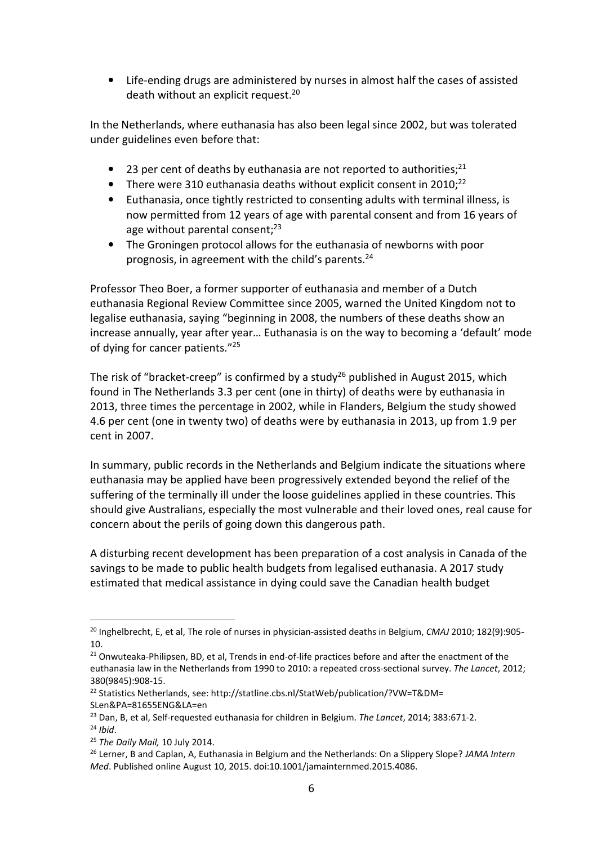• Life-ending drugs are administered by nurses in almost half the cases of assisted death without an explicit request.<sup>20</sup>

In the Netherlands, where euthanasia has also been legal since 2002, but was tolerated under guidelines even before that:

- 23 per cent of deaths by euthanasia are not reported to authorities; $^{21}$
- There were 310 euthanasia deaths without explicit consent in 2010:<sup>22</sup>
- Euthanasia, once tightly restricted to consenting adults with terminal illness, is now permitted from 12 years of age with parental consent and from 16 years of age without parental consent; $^{23}$
- The Groningen protocol allows for the euthanasia of newborns with poor prognosis, in agreement with the child's parents.<sup>24</sup>

Professor Theo Boer, a former supporter of euthanasia and member of a Dutch euthanasia Regional Review Committee since 2005, warned the United Kingdom not to legalise euthanasia, saying "beginning in 2008, the numbers of these deaths show an increase annually, year after year… Euthanasia is on the way to becoming a 'default' mode of dying for cancer patients."<sup>25</sup>

The risk of "bracket-creep" is confirmed by a study<sup>26</sup> published in August 2015, which found in The Netherlands 3.3 per cent (one in thirty) of deaths were by euthanasia in 2013, three times the percentage in 2002, while in Flanders, Belgium the study showed 4.6 per cent (one in twenty two) of deaths were by euthanasia in 2013, up from 1.9 per cent in 2007.

In summary, public records in the Netherlands and Belgium indicate the situations where euthanasia may be applied have been progressively extended beyond the relief of the suffering of the terminally ill under the loose guidelines applied in these countries. This should give Australians, especially the most vulnerable and their loved ones, real cause for concern about the perils of going down this dangerous path.

A disturbing recent development has been preparation of a cost analysis in Canada of the savings to be made to public health budgets from legalised euthanasia. A 2017 study estimated that medical assistance in dying could save the Canadian health budget

 $\overline{a}$ 

<sup>25</sup> *The Daily Mail,* 10 July 2014.

<sup>20</sup> Inghelbrecht, E, et al, The role of nurses in physician-assisted deaths in Belgium, *CMAJ* 2010; 182(9):905- 10.

<sup>&</sup>lt;sup>21</sup> Onwuteaka-Philipsen, BD, et al, Trends in end-of-life practices before and after the enactment of the euthanasia law in the Netherlands from 1990 to 2010: a repeated cross-sectional survey. *The Lancet*, 2012; 380(9845):908-15.

<sup>22</sup> Statistics Netherlands, see: http://statline.cbs.nl/StatWeb/publication/?VW=T&DM= SLen&PA=81655ENG&LA=en

<sup>23</sup> Dan, B, et al, Self-requested euthanasia for children in Belgium. *The Lancet*, 2014; 383:671-2.

<sup>24</sup> *Ibid*.

<sup>26</sup> Lerner, B and Caplan, A, Euthanasia in Belgium and the Netherlands: On a Slippery Slope? *JAMA Intern Med*. Published online August 10, 2015. doi:10.1001/jamainternmed.2015.4086.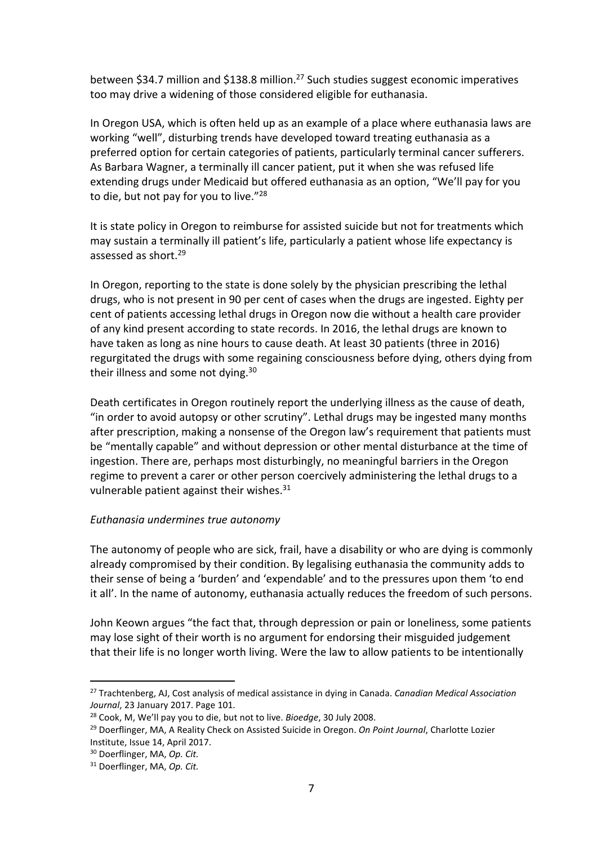between \$34.7 million and \$138.8 million.<sup>27</sup> Such studies suggest economic imperatives too may drive a widening of those considered eligible for euthanasia.

In Oregon USA, which is often held up as an example of a place where euthanasia laws are working "well", disturbing trends have developed toward treating euthanasia as a preferred option for certain categories of patients, particularly terminal cancer sufferers. As Barbara Wagner, a terminally ill cancer patient, put it when she was refused life extending drugs under Medicaid but offered euthanasia as an option, "We'll pay for you to die, but not pay for you to live."<sup>28</sup>

It is state policy in Oregon to reimburse for assisted suicide but not for treatments which may sustain a terminally ill patient's life, particularly a patient whose life expectancy is assessed as short.<sup>29</sup>

In Oregon, reporting to the state is done solely by the physician prescribing the lethal drugs, who is not present in 90 per cent of cases when the drugs are ingested. Eighty per cent of patients accessing lethal drugs in Oregon now die without a health care provider of any kind present according to state records. In 2016, the lethal drugs are known to have taken as long as nine hours to cause death. At least 30 patients (three in 2016) regurgitated the drugs with some regaining consciousness before dying, others dying from their illness and some not dying.<sup>30</sup>

Death certificates in Oregon routinely report the underlying illness as the cause of death, "in order to avoid autopsy or other scrutiny". Lethal drugs may be ingested many months after prescription, making a nonsense of the Oregon law's requirement that patients must be "mentally capable" and without depression or other mental disturbance at the time of ingestion. There are, perhaps most disturbingly, no meaningful barriers in the Oregon regime to prevent a carer or other person coercively administering the lethal drugs to a vulnerable patient against their wishes.<sup>31</sup>

#### *Euthanasia undermines true autonomy*

The autonomy of people who are sick, frail, have a disability or who are dying is commonly already compromised by their condition. By legalising euthanasia the community adds to their sense of being a 'burden' and 'expendable' and to the pressures upon them 'to end it all'. In the name of autonomy, euthanasia actually reduces the freedom of such persons.

John Keown argues "the fact that, through depression or pain or loneliness, some patients may lose sight of their worth is no argument for endorsing their misguided judgement that their life is no longer worth living. Were the law to allow patients to be intentionally

<sup>27</sup> Trachtenberg, AJ, Cost analysis of medical assistance in dying in Canada. *Canadian Medical Association Journal*, 23 January 2017. Page 101.

<sup>28</sup> Cook, M, We'll pay you to die, but not to live. *Bioedge*, 30 July 2008.

<sup>29</sup> Doerflinger, MA, A Reality Check on Assisted Suicide in Oregon. *On Point Journal*, Charlotte Lozier Institute, Issue 14, April 2017.

<sup>30</sup> Doerflinger, MA, *Op. Cit.*

<sup>31</sup> Doerflinger, MA, *Op. Cit.*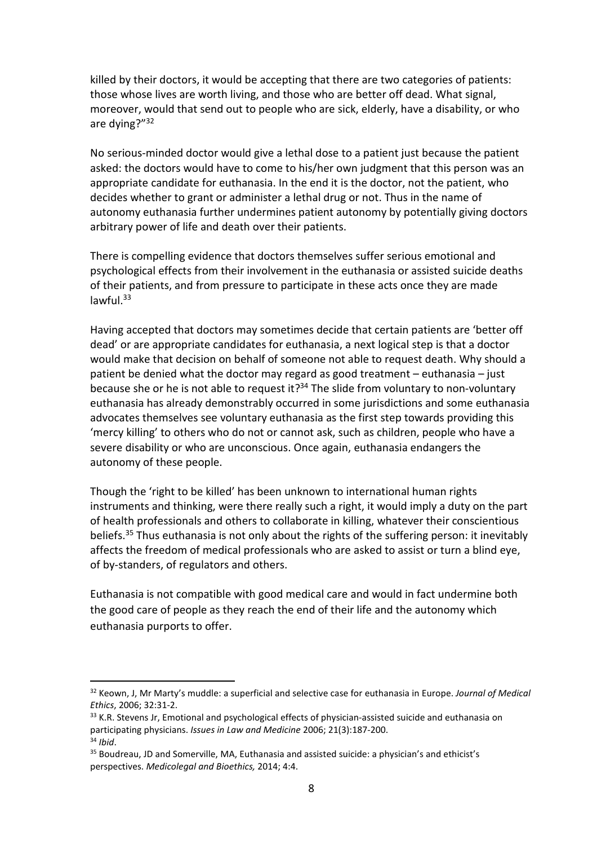killed by their doctors, it would be accepting that there are two categories of patients: those whose lives are worth living, and those who are better off dead. What signal, moreover, would that send out to people who are sick, elderly, have a disability, or who are dying?"<sup>32</sup>

No serious-minded doctor would give a lethal dose to a patient just because the patient asked: the doctors would have to come to his/her own judgment that this person was an appropriate candidate for euthanasia. In the end it is the doctor, not the patient, who decides whether to grant or administer a lethal drug or not. Thus in the name of autonomy euthanasia further undermines patient autonomy by potentially giving doctors arbitrary power of life and death over their patients.

There is compelling evidence that doctors themselves suffer serious emotional and psychological effects from their involvement in the euthanasia or assisted suicide deaths of their patients, and from pressure to participate in these acts once they are made lawful. $33$ 

Having accepted that doctors may sometimes decide that certain patients are 'better off dead' or are appropriate candidates for euthanasia, a next logical step is that a doctor would make that decision on behalf of someone not able to request death. Why should a patient be denied what the doctor may regard as good treatment – euthanasia – just because she or he is not able to request it? $34$  The slide from voluntary to non-voluntary euthanasia has already demonstrably occurred in some jurisdictions and some euthanasia advocates themselves see voluntary euthanasia as the first step towards providing this 'mercy killing' to others who do not or cannot ask, such as children, people who have a severe disability or who are unconscious. Once again, euthanasia endangers the autonomy of these people.

Though the 'right to be killed' has been unknown to international human rights instruments and thinking, were there really such a right, it would imply a duty on the part of health professionals and others to collaborate in killing, whatever their conscientious beliefs.<sup>35</sup> Thus euthanasia is not only about the rights of the suffering person: it inevitably affects the freedom of medical professionals who are asked to assist or turn a blind eye, of by-standers, of regulators and others.

Euthanasia is not compatible with good medical care and would in fact undermine both the good care of people as they reach the end of their life and the autonomy which euthanasia purports to offer.

<sup>32</sup> Keown, J, Mr Marty's muddle: a superficial and selective case for euthanasia in Europe. *Journal of Medical Ethics*, 2006; 32:31-2.

<sup>&</sup>lt;sup>33</sup> K.R. Stevens Jr, Emotional and psychological effects of physician-assisted suicide and euthanasia on participating physicians. *Issues in Law and Medicine* 2006; 21(3):187-200. <sup>34</sup> *Ibid*.

<sup>&</sup>lt;sup>35</sup> Boudreau, JD and Somerville, MA, Euthanasia and assisted suicide: a physician's and ethicist's perspectives. *Medicolegal and Bioethics,* 2014; 4:4.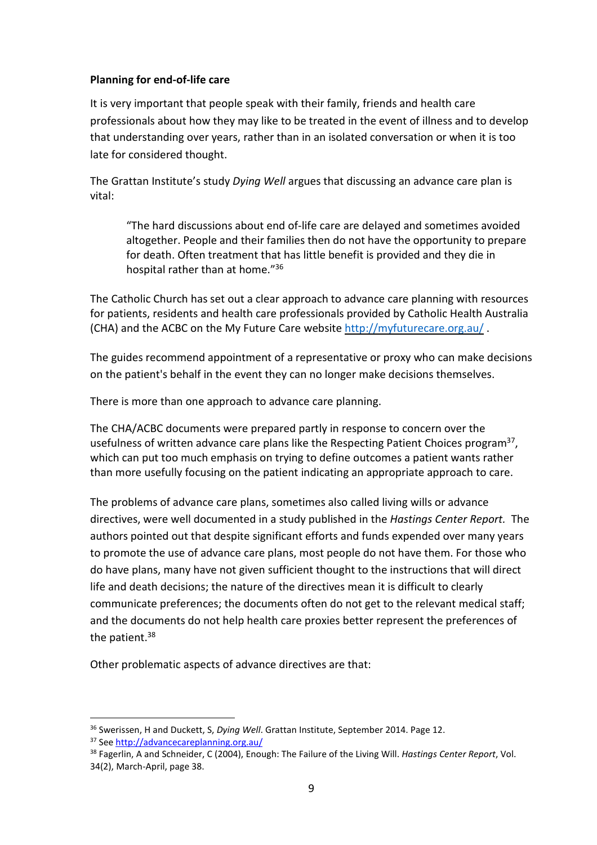#### **Planning for end-of-life care**

It is very important that people speak with their family, friends and health care professionals about how they may like to be treated in the event of illness and to develop that understanding over years, rather than in an isolated conversation or when it is too late for considered thought.

The Grattan Institute's study *Dying Well* argues that discussing an advance care plan is vital:

"The hard discussions about end of-life care are delayed and sometimes avoided altogether. People and their families then do not have the opportunity to prepare for death. Often treatment that has little benefit is provided and they die in hospital rather than at home."<sup>36</sup>

The Catholic Church has set out a clear approach to advance care planning with resources for patients, residents and health care professionals provided by Catholic Health Australia (CHA) and the ACBC on the My Future Care website http://myfuturecare.org.au/ .

The guides recommend appointment of a representative or proxy who can make decisions on the patient's behalf in the event they can no longer make decisions themselves.

There is more than one approach to advance care planning.

The CHA/ACBC documents were prepared partly in response to concern over the usefulness of written advance care plans like the Respecting Patient Choices program<sup>37</sup>, which can put too much emphasis on trying to define outcomes a patient wants rather than more usefully focusing on the patient indicating an appropriate approach to care.

The problems of advance care plans, sometimes also called living wills or advance directives, were well documented in a study published in the *Hastings Center Report.* The authors pointed out that despite significant efforts and funds expended over many years to promote the use of advance care plans, most people do not have them. For those who do have plans, many have not given sufficient thought to the instructions that will direct life and death decisions; the nature of the directives mean it is difficult to clearly communicate preferences; the documents often do not get to the relevant medical staff; and the documents do not help health care proxies better represent the preferences of the patient.<sup>38</sup>

Other problematic aspects of advance directives are that:

<sup>36</sup> Swerissen, H and Duckett, S, *Dying Well*. Grattan Institute, September 2014. Page 12.

<sup>37</sup> See http://advancecareplanning.org.au/

<sup>38</sup> Fagerlin, A and Schneider, C (2004), Enough: The Failure of the Living Will. *Hastings Center Report*, Vol. 34(2), March-April, page 38.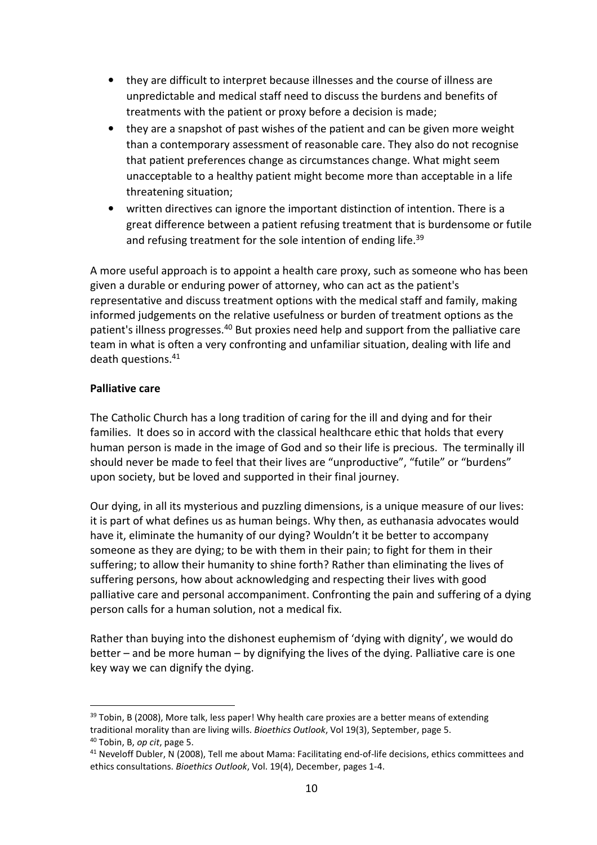- they are difficult to interpret because illnesses and the course of illness are unpredictable and medical staff need to discuss the burdens and benefits of treatments with the patient or proxy before a decision is made;
- they are a snapshot of past wishes of the patient and can be given more weight than a contemporary assessment of reasonable care. They also do not recognise that patient preferences change as circumstances change. What might seem unacceptable to a healthy patient might become more than acceptable in a life threatening situation;
- written directives can ignore the important distinction of intention. There is a great difference between a patient refusing treatment that is burdensome or futile and refusing treatment for the sole intention of ending life.<sup>39</sup>

A more useful approach is to appoint a health care proxy, such as someone who has been given a durable or enduring power of attorney, who can act as the patient's representative and discuss treatment options with the medical staff and family, making informed judgements on the relative usefulness or burden of treatment options as the patient's illness progresses.<sup>40</sup> But proxies need help and support from the palliative care team in what is often a very confronting and unfamiliar situation, dealing with life and death questions.<sup>41</sup>

## **Palliative care**

 $\overline{a}$ 

The Catholic Church has a long tradition of caring for the ill and dying and for their families. It does so in accord with the classical healthcare ethic that holds that every human person is made in the image of God and so their life is precious. The terminally ill should never be made to feel that their lives are "unproductive", "futile" or "burdens" upon society, but be loved and supported in their final journey.

Our dying, in all its mysterious and puzzling dimensions, is a unique measure of our lives: it is part of what defines us as human beings. Why then, as euthanasia advocates would have it, eliminate the humanity of our dying? Wouldn't it be better to accompany someone as they are dying; to be with them in their pain; to fight for them in their suffering; to allow their humanity to shine forth? Rather than eliminating the lives of suffering persons, how about acknowledging and respecting their lives with good palliative care and personal accompaniment. Confronting the pain and suffering of a dying person calls for a human solution, not a medical fix.

Rather than buying into the dishonest euphemism of 'dying with dignity', we would do better – and be more human – by dignifying the lives of the dying. Palliative care is one key way we can dignify the dying.

<sup>&</sup>lt;sup>39</sup> Tobin, B (2008), More talk, less paper! Why health care proxies are a better means of extending traditional morality than are living wills. *Bioethics Outlook*, Vol 19(3), September, page 5. <sup>40</sup> Tobin, B, *op cit*, page 5.

<sup>41</sup> Neveloff Dubler, N (2008), Tell me about Mama: Facilitating end-of-life decisions, ethics committees and ethics consultations. *Bioethics Outlook*, Vol. 19(4), December, pages 1-4.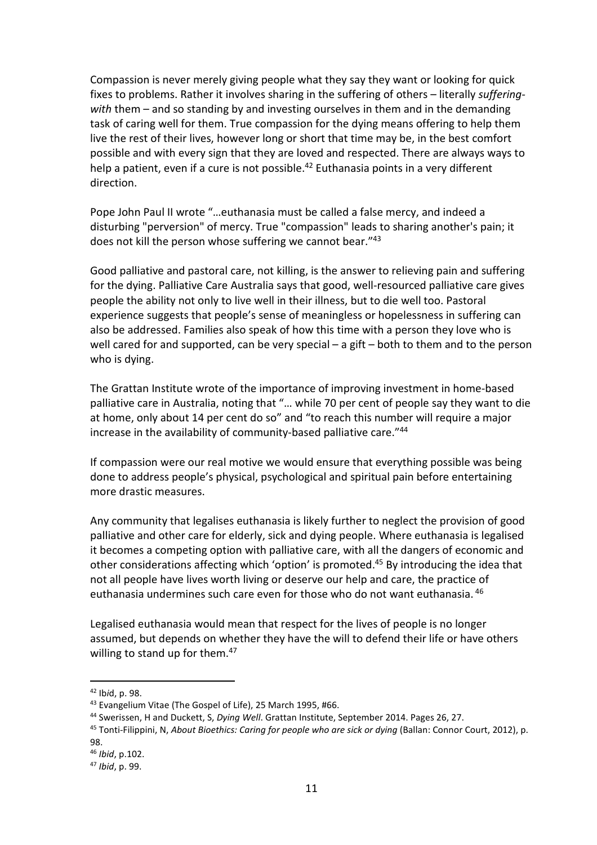Compassion is never merely giving people what they say they want or looking for quick fixes to problems. Rather it involves sharing in the suffering of others – literally *sufferingwith* them – and so standing by and investing ourselves in them and in the demanding task of caring well for them. True compassion for the dying means offering to help them live the rest of their lives, however long or short that time may be, in the best comfort possible and with every sign that they are loved and respected. There are always ways to help a patient, even if a cure is not possible.<sup>42</sup> Euthanasia points in a very different direction.

Pope John Paul II wrote "…euthanasia must be called a false mercy, and indeed a disturbing "perversion" of mercy. True "compassion" leads to sharing another's pain; it does not kill the person whose suffering we cannot bear."<sup>43</sup>

Good palliative and pastoral care, not killing, is the answer to relieving pain and suffering for the dying. Palliative Care Australia says that good, well-resourced palliative care gives people the ability not only to live well in their illness, but to die well too. Pastoral experience suggests that people's sense of meaningless or hopelessness in suffering can also be addressed. Families also speak of how this time with a person they love who is well cared for and supported, can be very special – a gift – both to them and to the person who is dying.

The Grattan Institute wrote of the importance of improving investment in home-based palliative care in Australia, noting that "… while 70 per cent of people say they want to die at home, only about 14 per cent do so" and "to reach this number will require a major increase in the availability of community-based palliative care."44

If compassion were our real motive we would ensure that everything possible was being done to address people's physical, psychological and spiritual pain before entertaining more drastic measures.

Any community that legalises euthanasia is likely further to neglect the provision of good palliative and other care for elderly, sick and dying people. Where euthanasia is legalised it becomes a competing option with palliative care, with all the dangers of economic and other considerations affecting which 'option' is promoted.<sup>45</sup> By introducing the idea that not all people have lives worth living or deserve our help and care, the practice of euthanasia undermines such care even for those who do not want euthanasia. <sup>46</sup>

Legalised euthanasia would mean that respect for the lives of people is no longer assumed, but depends on whether they have the will to defend their life or have others willing to stand up for them.<sup>47</sup>

<sup>42</sup> Ib*i*d, p. 98.

<sup>&</sup>lt;sup>43</sup> Evangelium Vitae (The Gospel of Life), 25 March 1995, #66.

<sup>44</sup> Swerissen, H and Duckett, S, *Dying Well*. Grattan Institute, September 2014. Pages 26, 27.

<sup>45</sup> Tonti-Filippini, N, *About Bioethics: Caring for people who are sick or dying* (Ballan: Connor Court, 2012), p. 98.

<sup>46</sup> *Ibid*, p.102.

<sup>47</sup> *Ibid*, p. 99.